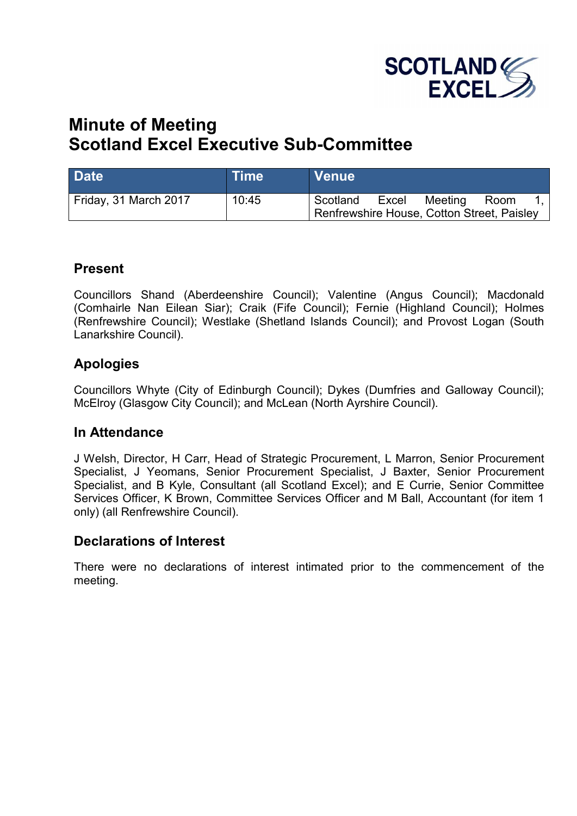

# **Minute of Meeting Scotland Excel Executive Sub-Committee**

| <b>Date</b>           | <b>Time</b> | <b>Venue</b>                                           |       |         |      |  |
|-----------------------|-------------|--------------------------------------------------------|-------|---------|------|--|
| Friday, 31 March 2017 | 10:45       | Scotland<br>Renfrewshire House, Cotton Street, Paisley | Excel | Meeting | Room |  |

#### **Present**

Councillors Shand (Aberdeenshire Council); Valentine (Angus Council); Macdonald (Comhairle Nan Eilean Siar); Craik (Fife Council); Fernie (Highland Council); Holmes (Renfrewshire Council); Westlake (Shetland Islands Council); and Provost Logan (South Lanarkshire Council).

# **Apologies**

Councillors Whyte (City of Edinburgh Council); Dykes (Dumfries and Galloway Council); McElroy (Glasgow City Council); and McLean (North Ayrshire Council).

### **In Attendance**

J Welsh, Director, H Carr, Head of Strategic Procurement, L Marron, Senior Procurement Specialist, J Yeomans, Senior Procurement Specialist, J Baxter, Senior Procurement Specialist, and B Kyle, Consultant (all Scotland Excel); and E Currie, Senior Committee Services Officer, K Brown, Committee Services Officer and M Ball, Accountant (for item 1 only) (all Renfrewshire Council).

### **Declarations of Interest**

There were no declarations of interest intimated prior to the commencement of the meeting.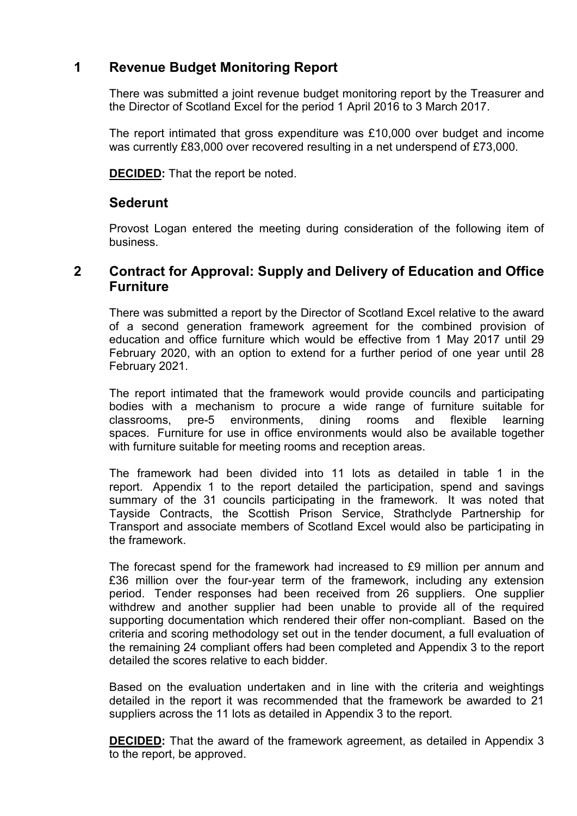# **1 Revenue Budget Monitoring Report**

There was submitted a joint revenue budget monitoring report by the Treasurer and the Director of Scotland Excel for the period 1 April 2016 to 3 March 2017.

The report intimated that gross expenditure was £10,000 over budget and income was currently £83,000 over recovered resulting in a net underspend of £73,000.

**DECIDED:** That the report be noted.

### **Sederunt**

Provost Logan entered the meeting during consideration of the following item of business.

### **2 Contract for Approval: Supply and Delivery of Education and Office Furniture**

There was submitted a report by the Director of Scotland Excel relative to the award of a second generation framework agreement for the combined provision of education and office furniture which would be effective from 1 May 2017 until 29 February 2020, with an option to extend for a further period of one year until 28 February 2021.

The report intimated that the framework would provide councils and participating bodies with a mechanism to procure a wide range of furniture suitable for classrooms, pre-5 environments, dining rooms and flexible learning spaces. Furniture for use in office environments would also be available together with furniture suitable for meeting rooms and reception areas.

The framework had been divided into 11 lots as detailed in table 1 in the report. Appendix 1 to the report detailed the participation, spend and savings summary of the 31 councils participating in the framework. It was noted that Tayside Contracts, the Scottish Prison Service, Strathclyde Partnership for Transport and associate members of Scotland Excel would also be participating in the framework.

The forecast spend for the framework had increased to £9 million per annum and £36 million over the four-year term of the framework, including any extension period. Tender responses had been received from 26 suppliers. One supplier withdrew and another supplier had been unable to provide all of the required supporting documentation which rendered their offer non-compliant. Based on the criteria and scoring methodology set out in the tender document, a full evaluation of the remaining 24 compliant offers had been completed and Appendix 3 to the report detailed the scores relative to each bidder.

Based on the evaluation undertaken and in line with the criteria and weightings detailed in the report it was recommended that the framework be awarded to 21 suppliers across the 11 lots as detailed in Appendix 3 to the report.

**DECIDED:** That the award of the framework agreement, as detailed in Appendix 3 to the report, be approved.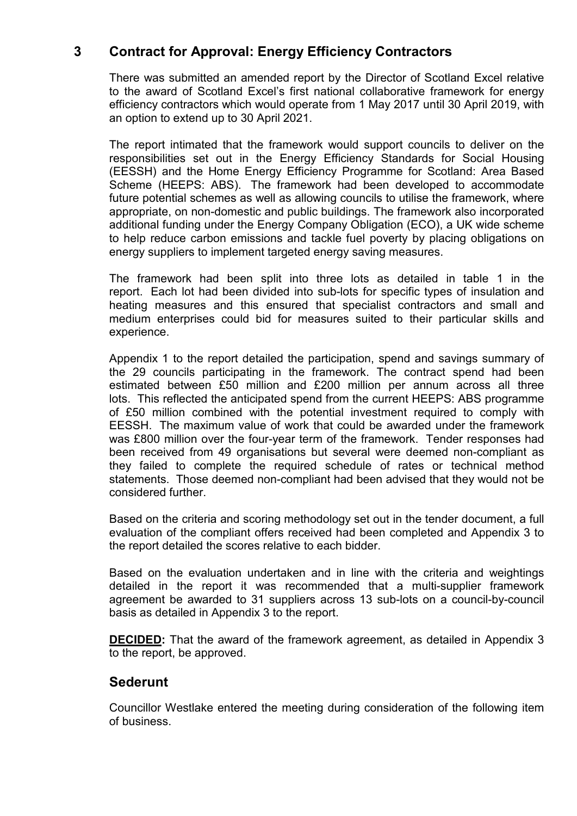# **3 Contract for Approval: Energy Efficiency Contractors**

There was submitted an amended report by the Director of Scotland Excel relative to the award of Scotland Excel's first national collaborative framework for energy efficiency contractors which would operate from 1 May 2017 until 30 April 2019, with an option to extend up to 30 April 2021.

The report intimated that the framework would support councils to deliver on the responsibilities set out in the Energy Efficiency Standards for Social Housing (EESSH) and the Home Energy Efficiency Programme for Scotland: Area Based Scheme (HEEPS: ABS). The framework had been developed to accommodate future potential schemes as well as allowing councils to utilise the framework, where appropriate, on non-domestic and public buildings. The framework also incorporated additional funding under the Energy Company Obligation (ECO), a UK wide scheme to help reduce carbon emissions and tackle fuel poverty by placing obligations on energy suppliers to implement targeted energy saving measures.

The framework had been split into three lots as detailed in table 1 in the report. Each lot had been divided into sub-lots for specific types of insulation and heating measures and this ensured that specialist contractors and small and medium enterprises could bid for measures suited to their particular skills and experience.

Appendix 1 to the report detailed the participation, spend and savings summary of the 29 councils participating in the framework. The contract spend had been estimated between £50 million and £200 million per annum across all three lots. This reflected the anticipated spend from the current HEEPS: ABS programme of £50 million combined with the potential investment required to comply with EESSH. The maximum value of work that could be awarded under the framework was £800 million over the four-year term of the framework. Tender responses had been received from 49 organisations but several were deemed non-compliant as they failed to complete the required schedule of rates or technical method statements. Those deemed non-compliant had been advised that they would not be considered further.

Based on the criteria and scoring methodology set out in the tender document, a full evaluation of the compliant offers received had been completed and Appendix 3 to the report detailed the scores relative to each bidder.

Based on the evaluation undertaken and in line with the criteria and weightings detailed in the report it was recommended that a multi-supplier framework agreement be awarded to 31 suppliers across 13 sub-lots on a council-by-council basis as detailed in Appendix 3 to the report.

**DECIDED:** That the award of the framework agreement, as detailed in Appendix 3 to the report, be approved.

#### **Sederunt**

Councillor Westlake entered the meeting during consideration of the following item of business.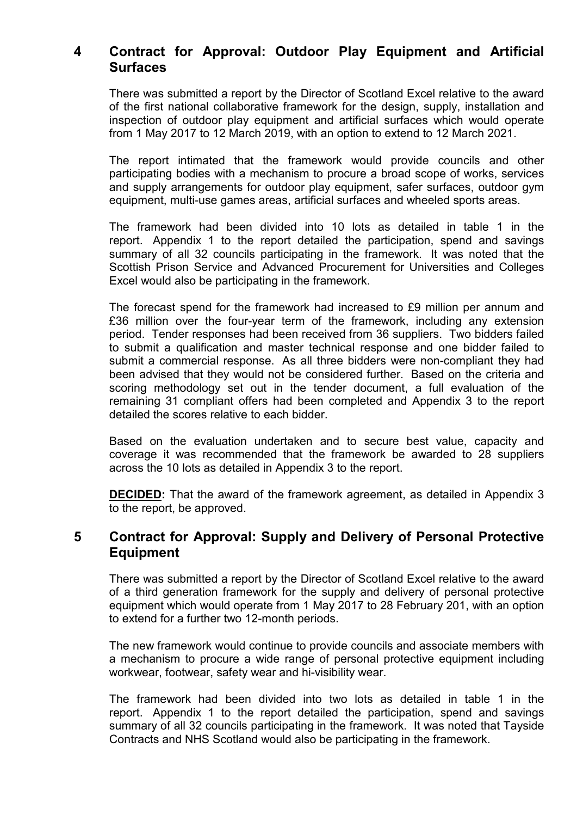# **4 Contract for Approval: Outdoor Play Equipment and Artificial Surfaces**

There was submitted a report by the Director of Scotland Excel relative to the award of the first national collaborative framework for the design, supply, installation and inspection of outdoor play equipment and artificial surfaces which would operate from 1 May 2017 to 12 March 2019, with an option to extend to 12 March 2021.

The report intimated that the framework would provide councils and other participating bodies with a mechanism to procure a broad scope of works, services and supply arrangements for outdoor play equipment, safer surfaces, outdoor gym equipment, multi-use games areas, artificial surfaces and wheeled sports areas.

The framework had been divided into 10 lots as detailed in table 1 in the report. Appendix 1 to the report detailed the participation, spend and savings summary of all 32 councils participating in the framework. It was noted that the Scottish Prison Service and Advanced Procurement for Universities and Colleges Excel would also be participating in the framework.

The forecast spend for the framework had increased to £9 million per annum and £36 million over the four-year term of the framework, including any extension period. Tender responses had been received from 36 suppliers. Two bidders failed to submit a qualification and master technical response and one bidder failed to submit a commercial response. As all three bidders were non-compliant they had been advised that they would not be considered further. Based on the criteria and scoring methodology set out in the tender document, a full evaluation of the remaining 31 compliant offers had been completed and Appendix 3 to the report detailed the scores relative to each bidder.

Based on the evaluation undertaken and to secure best value, capacity and coverage it was recommended that the framework be awarded to 28 suppliers across the 10 lots as detailed in Appendix 3 to the report.

**DECIDED:** That the award of the framework agreement, as detailed in Appendix 3 to the report, be approved.

#### **5 Contract for Approval: Supply and Delivery of Personal Protective Equipment**

There was submitted a report by the Director of Scotland Excel relative to the award of a third generation framework for the supply and delivery of personal protective equipment which would operate from 1 May 2017 to 28 February 201, with an option to extend for a further two 12-month periods.

The new framework would continue to provide councils and associate members with a mechanism to procure a wide range of personal protective equipment including workwear, footwear, safety wear and hi-visibility wear.

The framework had been divided into two lots as detailed in table 1 in the report. Appendix 1 to the report detailed the participation, spend and savings summary of all 32 councils participating in the framework. It was noted that Tayside Contracts and NHS Scotland would also be participating in the framework.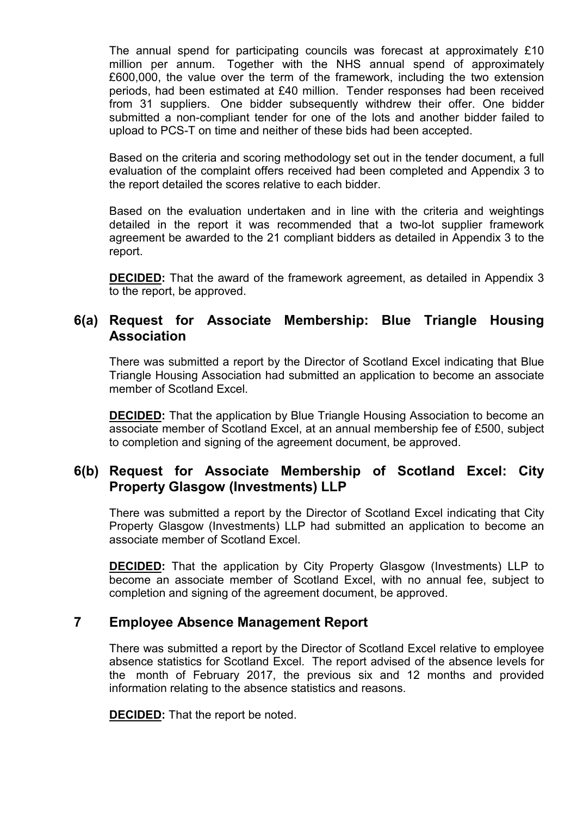The annual spend for participating councils was forecast at approximately £10 million per annum. Together with the NHS annual spend of approximately £600,000, the value over the term of the framework, including the two extension periods, had been estimated at £40 million. Tender responses had been received from 31 suppliers. One bidder subsequently withdrew their offer. One bidder submitted a non-compliant tender for one of the lots and another bidder failed to upload to PCS-T on time and neither of these bids had been accepted.

Based on the criteria and scoring methodology set out in the tender document, a full evaluation of the complaint offers received had been completed and Appendix 3 to the report detailed the scores relative to each bidder.

Based on the evaluation undertaken and in line with the criteria and weightings detailed in the report it was recommended that a two-lot supplier framework agreement be awarded to the 21 compliant bidders as detailed in Appendix 3 to the report.

**DECIDED:** That the award of the framework agreement, as detailed in Appendix 3 to the report, be approved.

### **6(a) Request for Associate Membership: Blue Triangle Housing Association**

There was submitted a report by the Director of Scotland Excel indicating that Blue Triangle Housing Association had submitted an application to become an associate member of Scotland Excel.

**DECIDED:** That the application by Blue Triangle Housing Association to become an associate member of Scotland Excel, at an annual membership fee of £500, subject to completion and signing of the agreement document, be approved.

# **6(b) Request for Associate Membership of Scotland Excel: City Property Glasgow (Investments) LLP**

There was submitted a report by the Director of Scotland Excel indicating that City Property Glasgow (Investments) LLP had submitted an application to become an associate member of Scotland Excel.

**DECIDED:** That the application by City Property Glasgow (Investments) LLP to become an associate member of Scotland Excel, with no annual fee, subject to completion and signing of the agreement document, be approved.

### **7 Employee Absence Management Report**

There was submitted a report by the Director of Scotland Excel relative to employee absence statistics for Scotland Excel. The report advised of the absence levels for the month of February 2017, the previous six and 12 months and provided information relating to the absence statistics and reasons.

**DECIDED:** That the report be noted.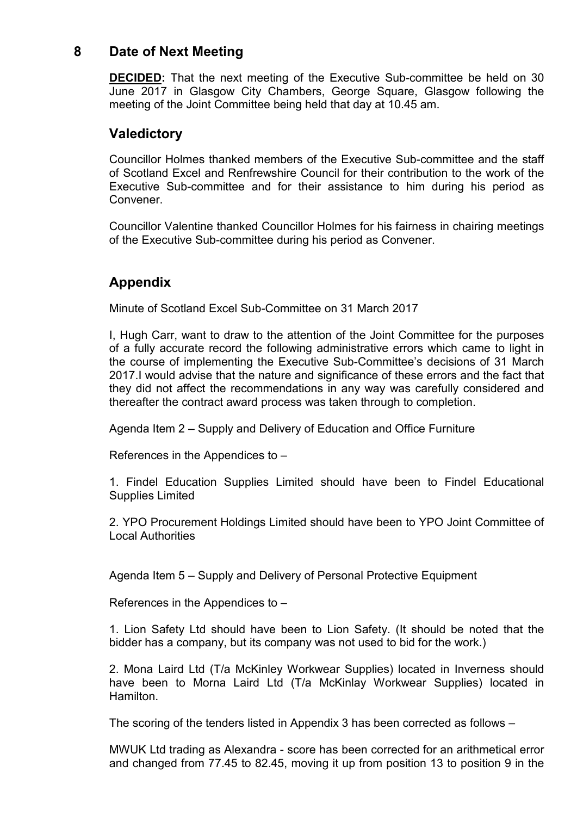### **8 Date of Next Meeting**

**DECIDED:** That the next meeting of the Executive Sub-committee be held on 30 June 2017 in Glasgow City Chambers, George Square, Glasgow following the meeting of the Joint Committee being held that day at 10.45 am.

# **Valedictory**

Councillor Holmes thanked members of the Executive Sub-committee and the staff of Scotland Excel and Renfrewshire Council for their contribution to the work of the Executive Sub-committee and for their assistance to him during his period as Convener.

Councillor Valentine thanked Councillor Holmes for his fairness in chairing meetings of the Executive Sub-committee during his period as Convener.

# **Appendix**

Minute of Scotland Excel Sub-Committee on 31 March 2017

I, Hugh Carr, want to draw to the attention of the Joint Committee for the purposes of a fully accurate record the following administrative errors which came to light in the course of implementing the Executive Sub-Committee's decisions of 31 March 2017.I would advise that the nature and significance of these errors and the fact that they did not affect the recommendations in any way was carefully considered and thereafter the contract award process was taken through to completion.

Agenda Item 2 – Supply and Delivery of Education and Office Furniture

References in the Appendices to –

1. Findel Education Supplies Limited should have been to Findel Educational Supplies Limited

2. YPO Procurement Holdings Limited should have been to YPO Joint Committee of Local Authorities

Agenda Item 5 – Supply and Delivery of Personal Protective Equipment

References in the Appendices to –

1. Lion Safety Ltd should have been to Lion Safety. (It should be noted that the bidder has a company, but its company was not used to bid for the work.)

2. Mona Laird Ltd (T/a McKinley Workwear Supplies) located in Inverness should have been to Morna Laird Ltd (T/a McKinlay Workwear Supplies) located in Hamilton.

The scoring of the tenders listed in Appendix 3 has been corrected as follows –

MWUK Ltd trading as Alexandra - score has been corrected for an arithmetical error and changed from 77.45 to 82.45, moving it up from position 13 to position 9 in the